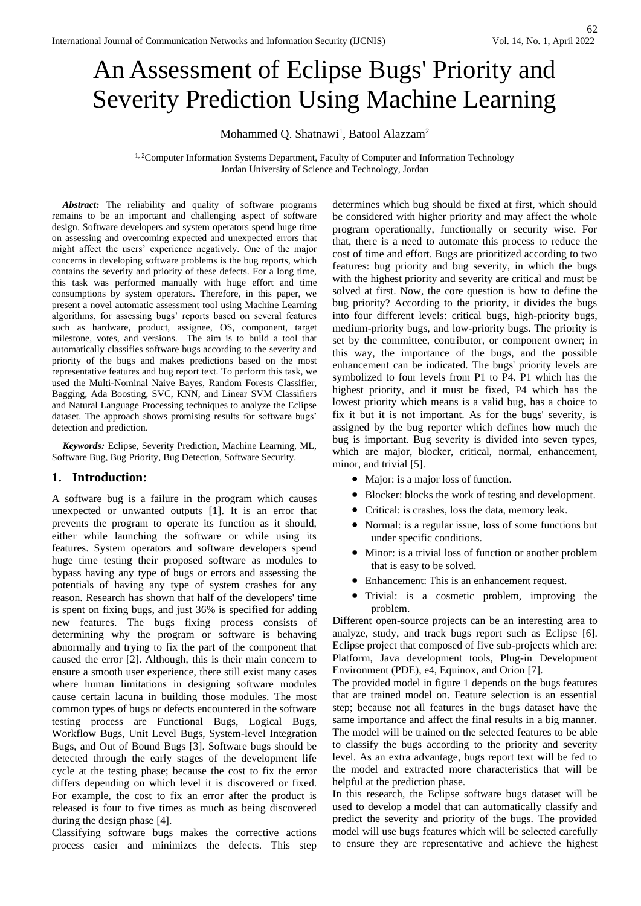# An Assessment of Eclipse Bugs' Priority and Severity Prediction Using Machine Learning

Mohammed Q. Shatnawi<sup>1</sup>, Batool Alazzam<sup>2</sup>

<sup>1, 2</sup>Computer Information Systems Department, Faculty of Computer and Information Technology Jordan University of Science and Technology, Jordan

Abstract: The reliability and quality of software programs remains to be an important and challenging aspect of software design. Software developers and system operators spend huge time on assessing and overcoming expected and unexpected errors that might affect the users' experience negatively. One of the major concerns in developing software problems is the bug reports, which contains the severity and priority of these defects. For a long time, this task was performed manually with huge effort and time consumptions by system operators. Therefore, in this paper, we present a novel automatic assessment tool using Machine Learning algorithms, for assessing bugs' reports based on several features such as hardware, product, assignee, OS, component, target milestone, votes, and versions. The aim is to build a tool that automatically classifies software bugs according to the severity and priority of the bugs and makes predictions based on the most representative features and bug report text. To perform this task, we used the Multi-Nominal Naive Bayes, Random Forests Classifier, Bagging, Ada Boosting, SVC, KNN, and Linear SVM Classifiers and Natural Language Processing techniques to analyze the Eclipse dataset. The approach shows promising results for software bugs' detection and prediction.

*Keywords:* Eclipse, Severity Prediction, Machine Learning, ML, Software Bug, Bug Priority, Bug Detection, Software Security.

## **1. Introduction:**

A software bug is a failure in the program which causes unexpected or unwanted outputs [1]. It is an error that prevents the program to operate its function as it should, either while launching the software or while using its features. System operators and software developers spend huge time testing their proposed software as modules to bypass having any type of bugs or errors and assessing the potentials of having any type of system crashes for any reason. Research has shown that half of the developers' time is spent on fixing bugs, and just 36% is specified for adding new features. The bugs fixing process consists of determining why the program or software is behaving abnormally and trying to fix the part of the component that caused the error [2]. Although, this is their main concern to ensure a smooth user experience, there still exist many cases where human limitations in designing software modules cause certain lacuna in building those modules. The most common types of bugs or defects encountered in the software testing process are Functional Bugs, Logical Bugs, Workflow Bugs, Unit Level Bugs, System-level Integration Bugs, and Out of Bound Bugs [3]. Software bugs should be detected through the early stages of the development life cycle at the testing phase; because the cost to fix the error differs depending on which level it is discovered or fixed. For example, the cost to fix an error after the product is released is four to five times as much as being discovered during the design phase [4].

Classifying software bugs makes the corrective actions process easier and minimizes the defects. This step

determines which bug should be fixed at first, which should be considered with higher priority and may affect the whole program operationally, functionally or security wise. For that, there is a need to automate this process to reduce the cost of time and effort. Bugs are prioritized according to two features: bug priority and bug severity, in which the bugs with the highest priority and severity are critical and must be solved at first. Now, the core question is how to define the bug priority? According to the priority, it divides the bugs into four different levels: critical bugs, high-priority bugs, medium-priority bugs, and low-priority bugs. The priority is set by the committee, contributor, or component owner; in this way, the importance of the bugs, and the possible enhancement can be indicated. The bugs' priority levels are symbolized to four levels from P1 to P4. P1 which has the highest priority, and it must be fixed, P4 which has the lowest priority which means is a valid bug, has a choice to fix it but it is not important. As for the bugs' severity, is assigned by the bug reporter which defines how much the bug is important. Bug severity is divided into seven types, which are major, blocker, critical, normal, enhancement, minor, and trivial [5].

- Major: is a major loss of function.
- Blocker: blocks the work of testing and development.
- Critical: is crashes, loss the data, memory leak.
- Normal: is a regular issue, loss of some functions but under specific conditions.
- Minor: is a trivial loss of function or another problem that is easy to be solved.
- Enhancement: This is an enhancement request.
- Trivial: is a cosmetic problem, improving the problem.

Different open-source projects can be an interesting area to analyze, study, and track bugs report such as Eclipse [6]. Eclipse project that composed of five sub-projects which are: Platform, Java development tools, Plug-in Development Environment (PDE), e4, Equinox, and Orion [7].

The provided model in figure 1 depends on the bugs features that are trained model on. Feature selection is an essential step; because not all features in the bugs dataset have the same importance and affect the final results in a big manner. The model will be trained on the selected features to be able to classify the bugs according to the priority and severity level. As an extra advantage, bugs report text will be fed to the model and extracted more characteristics that will be helpful at the prediction phase.

In this research, the Eclipse software bugs dataset will be used to develop a model that can automatically classify and predict the severity and priority of the bugs. The provided model will use bugs features which will be selected carefully to ensure they are representative and achieve the highest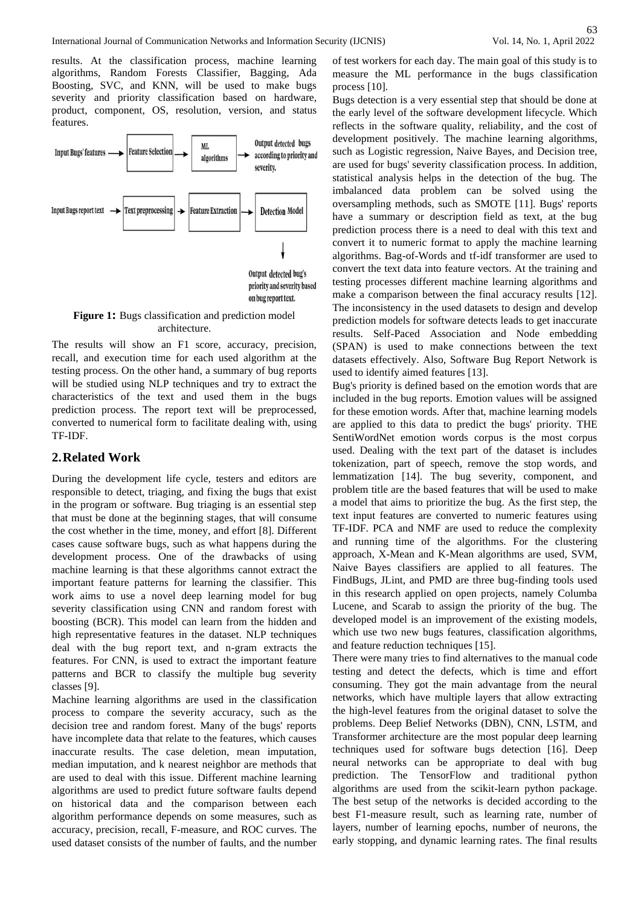results. At the classification process, machine learning algorithms, Random Forests Classifier, Bagging, Ada Boosting, SVC, and KNN, will be used to make bugs severity and priority classification based on hardware, product, component, OS, resolution, version, and status features.



**Figure 1:** Bugs classification and prediction model architecture.

The results will show an F1 score, accuracy, precision, recall, and execution time for each used algorithm at the testing process. On the other hand, a summary of bug reports will be studied using NLP techniques and try to extract the characteristics of the text and used them in the bugs prediction process. The report text will be preprocessed, converted to numerical form to facilitate dealing with, using TF-IDF.

# **2.Related Work**

During the development life cycle, testers and editors are responsible to detect, triaging, and fixing the bugs that exist in the program or software. Bug triaging is an essential step that must be done at the beginning stages, that will consume the cost whether in the time, money, and effort [8]. Different cases cause software bugs, such as what happens during the development process. One of the drawbacks of using machine learning is that these algorithms cannot extract the important feature patterns for learning the classifier. This work aims to use a novel deep learning model for bug severity classification using CNN and random forest with boosting (BCR). This model can learn from the hidden and high representative features in the dataset. NLP techniques deal with the bug report text, and n-gram extracts the features. For CNN, is used to extract the important feature patterns and BCR to classify the multiple bug severity classes [9].

Machine learning algorithms are used in the classification process to compare the severity accuracy, such as the decision tree and random forest. Many of the bugs' reports have incomplete data that relate to the features, which causes inaccurate results. The case deletion, mean imputation, median imputation, and k nearest neighbor are methods that are used to deal with this issue. Different machine learning algorithms are used to predict future software faults depend on historical data and the comparison between each algorithm performance depends on some measures, such as accuracy, precision, recall, F-measure, and ROC curves. The used dataset consists of the number of faults, and the number of test workers for each day. The main goal of this study is to measure the ML performance in the bugs classification process [10].

Bugs detection is a very essential step that should be done at the early level of the software development lifecycle. Which reflects in the software quality, reliability, and the cost of development positively. The machine learning algorithms, such as Logistic regression, Naive Bayes, and Decision tree, are used for bugs' severity classification process. In addition, statistical analysis helps in the detection of the bug. The imbalanced data problem can be solved using the oversampling methods, such as SMOTE [11]. Bugs' reports have a summary or description field as text, at the bug prediction process there is a need to deal with this text and convert it to numeric format to apply the machine learning algorithms. Bag-of-Words and tf-idf transformer are used to convert the text data into feature vectors. At the training and testing processes different machine learning algorithms and make a comparison between the final accuracy results [12]. The inconsistency in the used datasets to design and develop prediction models for software detects leads to get inaccurate results. Self-Paced Association and Node embedding (SPAN) is used to make connections between the text datasets effectively. Also, Software Bug Report Network is used to identify aimed features [13].

Bug's priority is defined based on the emotion words that are included in the bug reports. Emotion values will be assigned for these emotion words. After that, machine learning models are applied to this data to predict the bugs' priority. THE SentiWordNet emotion words corpus is the most corpus used. Dealing with the text part of the dataset is includes tokenization, part of speech, remove the stop words, and lemmatization [14]. The bug severity, component, and problem title are the based features that will be used to make a model that aims to prioritize the bug. As the first step, the text input features are converted to numeric features using TF-IDF. PCA and NMF are used to reduce the complexity and running time of the algorithms. For the clustering approach, X-Mean and K-Mean algorithms are used, SVM, Naive Bayes classifiers are applied to all features. The FindBugs, JLint, and PMD are three bug-finding tools used in this research applied on open projects, namely Columba Lucene, and Scarab to assign the priority of the bug. The developed model is an improvement of the existing models, which use two new bugs features, classification algorithms, and feature reduction techniques [15].

There were many tries to find alternatives to the manual code testing and detect the defects, which is time and effort consuming. They got the main advantage from the neural networks, which have multiple layers that allow extracting the high-level features from the original dataset to solve the problems. Deep Belief Networks (DBN), CNN, LSTM, and Transformer architecture are the most popular deep learning techniques used for software bugs detection [16]. Deep neural networks can be appropriate to deal with bug prediction. The TensorFlow and traditional python algorithms are used from the scikit-learn python package. The best setup of the networks is decided according to the best F1-measure result, such as learning rate, number of layers, number of learning epochs, number of neurons, the early stopping, and dynamic learning rates. The final results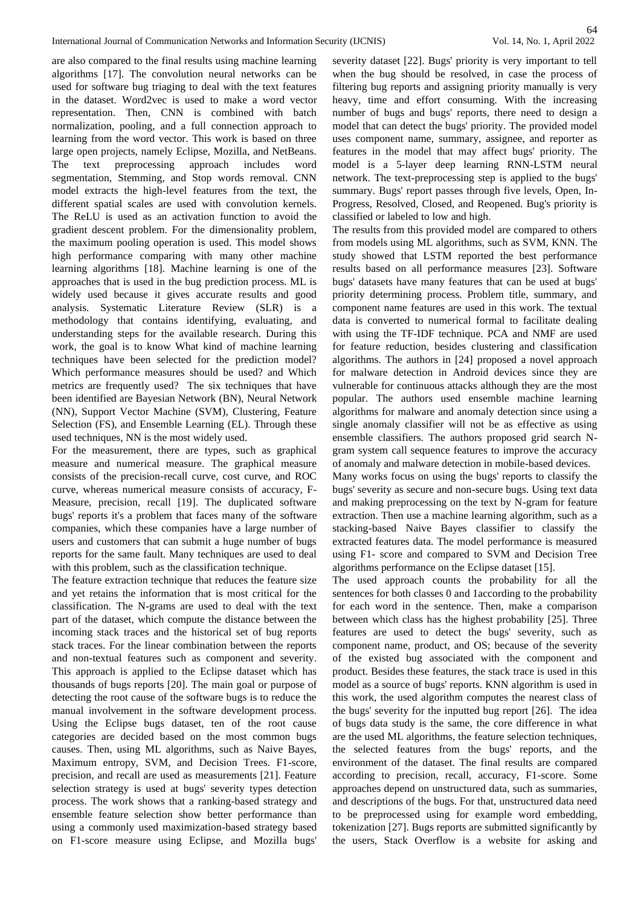are also compared to the final results using machine learning algorithms [17]. The convolution neural networks can be used for software bug triaging to deal with the text features in the dataset. Word2vec is used to make a word vector representation. Then, CNN is combined with batch normalization, pooling, and a full connection approach to learning from the word vector. This work is based on three large open projects, namely Eclipse, Mozilla, and NetBeans. The text preprocessing approach includes word segmentation, Stemming, and Stop words removal. CNN model extracts the high-level features from the text, the different spatial scales are used with convolution kernels. The ReLU is used as an activation function to avoid the gradient descent problem. For the dimensionality problem, the maximum pooling operation is used. This model shows high performance comparing with many other machine learning algorithms [18]. Machine learning is one of the approaches that is used in the bug prediction process. ML is widely used because it gives accurate results and good analysis. Systematic Literature Review (SLR) is a methodology that contains identifying, evaluating, and understanding steps for the available research. During this work, the goal is to know What kind of machine learning techniques have been selected for the prediction model? Which performance measures should be used? and Which metrics are frequently used? The six techniques that have been identified are Bayesian Network (BN), Neural Network (NN), Support Vector Machine (SVM), Clustering, Feature Selection (FS), and Ensemble Learning (EL). Through these used techniques, NN is the most widely used.

For the measurement, there are types, such as graphical measure and numerical measure. The graphical measure consists of the precision-recall curve, cost curve, and ROC curve, whereas numerical measure consists of accuracy, F-Measure, precision, recall [19]. The duplicated software bugs' reports it's a problem that faces many of the software companies, which these companies have a large number of users and customers that can submit a huge number of bugs reports for the same fault. Many techniques are used to deal with this problem, such as the classification technique.

The feature extraction technique that reduces the feature size and yet retains the information that is most critical for the classification. The N-grams are used to deal with the text part of the dataset, which compute the distance between the incoming stack traces and the historical set of bug reports stack traces. For the linear combination between the reports and non-textual features such as component and severity. This approach is applied to the Eclipse dataset which has thousands of bugs reports [20]. The main goal or purpose of detecting the root cause of the software bugs is to reduce the manual involvement in the software development process. Using the Eclipse bugs dataset, ten of the root cause categories are decided based on the most common bugs causes. Then, using ML algorithms, such as Naive Bayes, Maximum entropy, SVM, and Decision Trees. F1-score, precision, and recall are used as measurements [21]. Feature selection strategy is used at bugs' severity types detection process. The work shows that a ranking-based strategy and ensemble feature selection show better performance than using a commonly used maximization-based strategy based on F1-score measure using Eclipse, and Mozilla bugs'

severity dataset [22]. Bugs' priority is very important to tell when the bug should be resolved, in case the process of filtering bug reports and assigning priority manually is very heavy, time and effort consuming. With the increasing number of bugs and bugs' reports, there need to design a model that can detect the bugs' priority. The provided model uses component name, summary, assignee, and reporter as features in the model that may affect bugs' priority. The model is a 5-layer deep learning RNN-LSTM neural network. The text-preprocessing step is applied to the bugs' summary. Bugs' report passes through five levels, Open, In-Progress, Resolved, Closed, and Reopened. Bug's priority is classified or labeled to low and high.

The results from this provided model are compared to others from models using ML algorithms, such as SVM, KNN. The study showed that LSTM reported the best performance results based on all performance measures [23]. Software bugs' datasets have many features that can be used at bugs' priority determining process. Problem title, summary, and component name features are used in this work. The textual data is converted to numerical formal to facilitate dealing with using the TF-IDF technique. PCA and NMF are used for feature reduction, besides clustering and classification algorithms. The authors in [24] proposed a novel approach for malware detection in Android devices since they are vulnerable for continuous attacks although they are the most popular. The authors used ensemble machine learning algorithms for malware and anomaly detection since using a single anomaly classifier will not be as effective as using ensemble classifiers. The authors proposed grid search Ngram system call sequence features to improve the accuracy of anomaly and malware detection in mobile-based devices.

Many works focus on using the bugs' reports to classify the bugs' severity as secure and non-secure bugs. Using text data and making preprocessing on the text by N-gram for feature extraction. Then use a machine learning algorithm, such as a stacking-based Naive Bayes classifier to classify the extracted features data. The model performance is measured using F1- score and compared to SVM and Decision Tree algorithms performance on the Eclipse dataset [15].

The used approach counts the probability for all the sentences for both classes 0 and 1according to the probability for each word in the sentence. Then, make a comparison between which class has the highest probability [25]. Three features are used to detect the bugs' severity, such as component name, product, and OS; because of the severity of the existed bug associated with the component and product. Besides these features, the stack trace is used in this model as a source of bugs' reports. KNN algorithm is used in this work, the used algorithm computes the nearest class of the bugs' severity for the inputted bug report [26]. The idea of bugs data study is the same, the core difference in what are the used ML algorithms, the feature selection techniques, the selected features from the bugs' reports, and the environment of the dataset. The final results are compared according to precision, recall, accuracy, F1-score. Some approaches depend on unstructured data, such as summaries, and descriptions of the bugs. For that, unstructured data need to be preprocessed using for example word embedding, tokenization [27]. Bugs reports are submitted significantly by the users, Stack Overflow is a website for asking and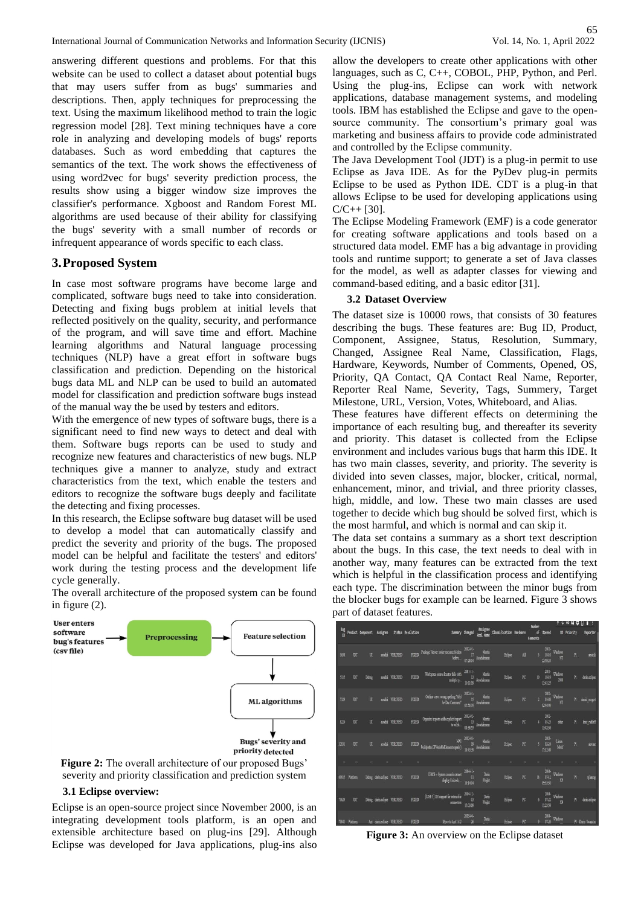65<br>Vol. 14, No. 1, April 2022

answering different questions and problems. For that this website can be used to collect a dataset about potential bugs that may users suffer from as bugs' summaries and descriptions. Then, apply techniques for preprocessing the text. Using the maximum likelihood method to train the logic regression model [28]. Text mining techniques have a core role in analyzing and developing models of bugs' reports databases. Such as word embedding that captures the semantics of the text. The work shows the effectiveness of using word2vec for bugs' severity prediction process, the results show using a bigger window size improves the classifier's performance. Xgboost and Random Forest ML algorithms are used because of their ability for classifying the bugs' severity with a small number of records or infrequent appearance of words specific to each class.

# **3.Proposed System**

In case most software programs have become large and complicated, software bugs need to take into consideration. Detecting and fixing bugs problem at initial levels that reflected positively on the quality, security, and performance of the program, and will save time and effort. Machine learning algorithms and Natural language processing techniques (NLP) have a great effort in software bugs classification and prediction. Depending on the historical bugs data ML and NLP can be used to build an automated model for classification and prediction software bugs instead of the manual way the be used by testers and editors.

With the emergence of new types of software bugs, there is a significant need to find new ways to detect and deal with them. Software bugs reports can be used to study and recognize new features and characteristics of new bugs. NLP techniques give a manner to analyze, study and extract characteristics from the text, which enable the testers and editors to recognize the software bugs deeply and facilitate the detecting and fixing processes.

In this research, the Eclipse software bug dataset will be used to develop a model that can automatically classify and predict the severity and priority of the bugs. The proposed model can be helpful and facilitate the testers' and editors' work during the testing process and the development life cycle generally.



The overall architecture of the proposed system can be found in figure (2).

severity and priority classification and prediction system

#### **3.1 Eclipse overview:**

Eclipse is an open-source project since November 2000, is an integrating development tools platform, is an open and extensible architecture based on plug-ins [29]. Although Eclipse was developed for Java applications, plug-ins also

allow the developers to create other applications with other languages, such as C, C++, COBOL, PHP, Python, and Perl. Using the plug-ins, Eclipse can work with network applications, database management systems, and modeling tools. IBM has established the Eclipse and gave to the opensource community. The consortium's primary goal was marketing and business affairs to provide code administrated and controlled by the Eclipse community.

The Java Development Tool (JDT) is a plug-in permit to use Eclipse as Java IDE. As for the PyDev plug-in permits Eclipse to be used as Python IDE. CDT is a plug-in that allows Eclipse to be used for developing applications using  $C/C_{++}$  [30].

The Eclipse Modeling Framework (EMF) is a code generator for creating software applications and tools based on a structured data model. EMF has a big advantage in providing tools and runtime support; to generate a set of Java classes for the model, as well as adapter classes for viewing and command-based editing, and a basic editor [31].

#### **3.2 Dataset Overview**

The dataset size is 10000 rows, that consists of 30 features describing the bugs. These features are: Bug ID, Product, Component, Assignee, Status, Resolution, Summary, Changed, Assignee Real Name, Classification, Flags, Hardware, Keywords, Number of Comments, Opened, OS, Priority, QA Contact, QA Contact Real Name, Reporter, Reporter Real Name, Severity, Tags, Summery, Target Milestone, URL, Version, Votes, Whiteboard, and Alias.

These features have different effects on determining the importance of each resulting bug, and thereafter its severity and priority. This dataset is collected from the Eclipse environment and includes various bugs that harm this IDE. It has two main classes, severity, and priority. The severity is divided into seven classes, major, blocker, critical, normal, enhancement, minor, and trivial, and three priority classes, high, middle, and low. These two main classes are used together to decide which bug should be solved first, which is the most harmful, and which is normal and can skip it.

The data set contains a summary as a short text description about the bugs. In this case, the text needs to deal with in another way, many features can be extracted from the text which is helpful in the classification process and identifying each type. The discrimination between the minor bugs from the blocker bugs for example can be learned. Figure 3 shows part of dataset features.

|       |                |                                      |                             |                 |                   |                                                                                                                                                                                                                                                          |                                                             |                          |                         |                          | Number         |                                                            |                                                           |             | $*$ $\circ$ $\blacksquare$ $\blacksquare$ $\blacksquare$ $\vdots$ |
|-------|----------------|--------------------------------------|-----------------------------|-----------------|-------------------|----------------------------------------------------------------------------------------------------------------------------------------------------------------------------------------------------------------------------------------------------------|-------------------------------------------------------------|--------------------------|-------------------------|--------------------------|----------------|------------------------------------------------------------|-----------------------------------------------------------|-------------|-------------------------------------------------------------------|
|       |                | Bug<br>ID Product Component Assignee |                             |                 | Status Resolution |                                                                                                                                                                                                                                                          | Sunnary Changed                                             | Assignee<br>Real Name    | Classification Hardware |                          | of<br>Connents | Opened                                                     |                                                           | 05 Priority | Reporter                                                          |
| 353   | DT             | $\overline{u}$                       |                             | aechi VERIFIED  | <b>FIXED</b>      | $\begin{tabular}{ll} \bf Pckage Wewer, order resource follow & \begin{tabular}{l} \bf 2002-01-\\ \bf 17 & \bf 184 min \\ \bf 0efsec., & \begin{tabular}{l} \bf 0.218-04 & \bf 1.645 minum \\ \bf 0.218-04 & \bf 0.228-04 \\ \end{tabular} \end{tabular}$ |                                                             |                          | Edips                   | Äll                      |                | $\begin{array}{r} 2001 \\ 3 \\ 1040 \\ 225824 \end{array}$ | $\begin{array}{c} \text{Windows} \\ \text{N} \end{array}$ | PI.         | iedi                                                              |
| 5115  | DĪ             | Debug                                |                             | aschi VERIFIED  | FIXED             | Workspace source locator fails with $\begin{array}{r} 2001411 \ 13 \\ 13 \\ 1611199 \end{array}$ Anschlimann                                                                                                                                             |                                                             |                          | Eclipse                 | $\overline{\mathcal{R}}$ | 10             | $^{2001}_{10-19}$<br>1341:25                               | Windows<br>2000                                           | PI          | dancelipse                                                        |
| 7329  | DÌ             | $\overline{u}$                       |                             | seschi VERIFIED | FIXED             | $\begin{tabular}{c} Online view: overage spelling "Add" \\ \hspace*{2.5cm} 180000 11 \\ \hspace*{2.5cm} 180000 1000000 \\ \end{tabular}$                                                                                                                 |                                                             | .<br>Marin<br>Aeschliman | Edipse                  | $\overline{\kappa}$      |                | $\begin{array}{r} 2001 \\ 2 & 0140 \\ 024449 \end{array}$  | Windows<br>$\overline{M}$                                 | PI.         | datiel meget                                                      |
| 824   | DT             | ū                                    |                             | aeschi VERIFIED | FOULD             | $\begin{tabular}{c} Organization adds explicit import = \begin{tabular}{c} 300242\\ \end{tabular} \end{tabular} \begin{tabular}{l} \bf Step 13\\ \end{tabular} \begin{tabular}{c} {\bf Right number} \\ \end{tabular}$                                   |                                                             |                          | Edipse                  | R                        |                | 2002-<br>$01-23$<br>13:42:36                               | other                                                     | PI          | knt radicff                                                       |
| 32831 | JDT            | $\overline{u}$                       |                             | sochi VERIFIED  |                   | $\begin{tabular}{c} \bf{NSE} & \bf{NPE} & \bf{Msh} \\ \bf{DD} & \bf{Msh} \\ \bf{bulk} & \bf{Msh} \\ \bf{bulk} & \bf{Msh} \\ \end{tabular}$                                                                                                               |                                                             |                          | Edipse                  | $\overline{R}$           |                | 2003-<br>$5 - 02-24$<br>17:12:49                           | Linux<br>Motif                                            | PI.         | arine                                                             |
|       |                |                                      |                             |                 |                   |                                                                                                                                                                                                                                                          |                                                             |                          |                         |                          |                |                                                            |                                                           |             |                                                                   |
| 69815 | Platform       |                                      | Debug darineclipse VERIFIED |                 | FIXED             | DBCS - System console cannot<br>diglay Unicode                                                                                                                                                                                                           | $\begin{array}{c} 2004 \cdot 11 \\ 01 \end{array}$<br>10404 | Dum<br>Wright            | Edipse                  | $\overline{\text{R}}$    | IF.            | $\begin{array}{c} 2004 \\ 0742 \\ 053330 \end{array}$      | Windows<br>XP                                             | P3          | sibung                                                            |
| 70539 | DT.            |                                      | Debug darineelipse VERIFIED |                 | FIXED             | [ $IISE$ 5] $IDI$ support for extensible<br>connectors                                                                                                                                                                                                   | 2004-12-<br>03<br>15:03:09                                  | Data<br>Wright           | Edipse                  | $\overline{\mathbf{R}}$  |                | $\begin{array}{c} 2004 \\ 07.22 \\ 11:23.59 \end{array}$   | Windows<br>XP                                             | P3          | dainedipse                                                        |
|       | 70841 Platform |                                      | Ant daringcline VERIFIED    |                 | FDED              | Move to Aut 1.6.2 26                                                                                                                                                                                                                                     | 20544                                                       | Daria                    | <b>Ecline:</b>          | R                        | $\mathbf{Q}$   | $\frac{2004}{07-26}$                                       | Windows                                                   |             | P3 Dain Successor                                                 |

**Figure 3:** An overview on the Eclipse dataset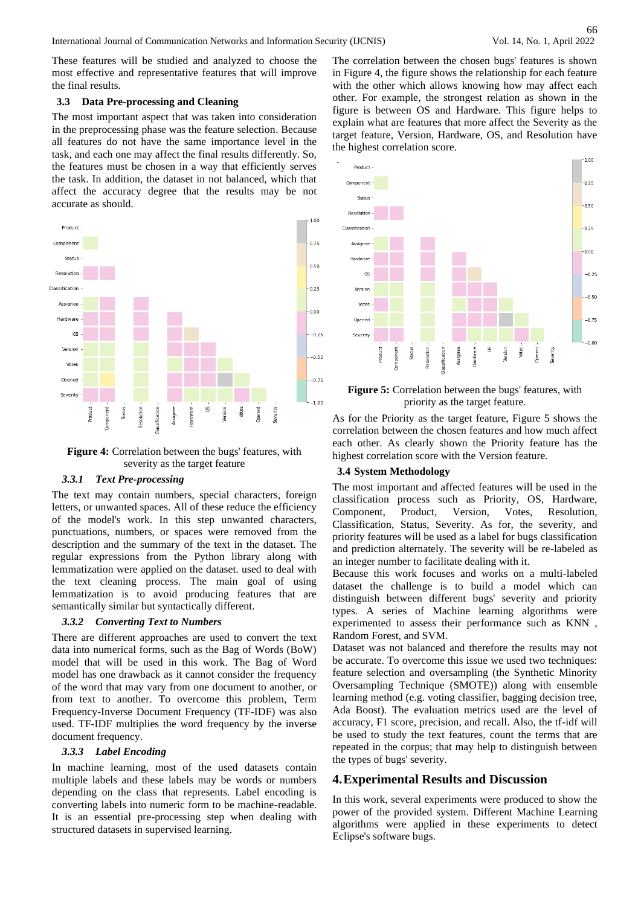These features will be studied and analyzed to choose the most effective and representative features that will improve the final results.

#### **3.3 Data Pre-processing and Cleaning**

The most important aspect that was taken into consideration in the preprocessing phase was the feature selection. Because all features do not have the same importance level in the task, and each one may affect the final results differently. So, the features must be chosen in a way that efficiently serves the task. In addition, the dataset in not balanced, which that affect the accuracy degree that the results may be not accurate as should.



**Figure 4:** Correlation between the bugs' features, with severity as the target feature

#### *3.3.1 Text Pre-processing*

The text may contain numbers, special characters, foreign letters, or unwanted spaces. All of these reduce the efficiency of the model's work. In this step unwanted characters, punctuations, numbers, or spaces were removed from the description and the summary of the text in the dataset. The regular expressions from the Python library along with lemmatization were applied on the dataset. used to deal with the text cleaning process. The main goal of using lemmatization is to avoid producing features that are semantically similar but syntactically different.

## *3.3.2 Converting Text to Numbers*

There are different approaches are used to convert the text data into numerical forms, such as the Bag of Words (BoW) model that will be used in this work. The Bag of Word model has one drawback as it cannot consider the frequency of the word that may vary from one document to another, or from text to another. To overcome this problem, Term Frequency-Inverse Document Frequency (TF-IDF) was also used. TF-IDF multiplies the word frequency by the inverse document frequency.

#### *3.3.3 Label Encoding*

In machine learning, most of the used datasets contain multiple labels and these labels may be words or numbers depending on the class that represents. Label encoding is converting labels into numeric form to be machine-readable. It is an essential pre-processing step when dealing with structured datasets in supervised learning.

The correlation between the chosen bugs' features is shown in Figure 4, the figure shows the relationship for each feature with the other which allows knowing how may affect each other. For example, the strongest relation as shown in the figure is between OS and Hardware. This figure helps to explain what are features that more affect the Severity as the target feature, Version, Hardware, OS, and Resolution have the highest correlation score.



**Figure 5:** Correlation between the bugs' features, with priority as the target feature.

As for the Priority as the target feature, Figure 5 shows the correlation between the chosen features and how much affect each other. As clearly shown the Priority feature has the highest correlation score with the Version feature.

## **3.4 System Methodology**

The most important and affected features will be used in the classification process such as Priority, OS, Hardware, Component, Product, Version, Votes, Resolution, Classification, Status, Severity. As for, the severity, and priority features will be used as a label for bugs classification and prediction alternately. The severity will be re-labeled as an integer number to facilitate dealing with it.

Because this work focuses and works on a multi-labeled dataset the challenge is to build a model which can distinguish between different bugs' severity and priority types. A series of Machine learning algorithms were experimented to assess their performance such as KNN , Random Forest, and SVM.

Dataset was not balanced and therefore the results may not be accurate. To overcome this issue we used two techniques: feature selection and oversampling (the Synthetic Minority Oversampling Technique (SMOTE)) along with ensemble learning method (e.g. voting classifier, bagging decision tree, Ada Boost). The evaluation metrics used are the level of accuracy, F1 score, precision, and recall. Also, the tf-idf will be used to study the text features, count the terms that are repeated in the corpus; that may help to distinguish between the types of bugs' severity.

## **4.Experimental Results and Discussion**

In this work, several experiments were produced to show the power of the provided system. Different Machine Learning algorithms were applied in these experiments to detect Eclipse's software bugs.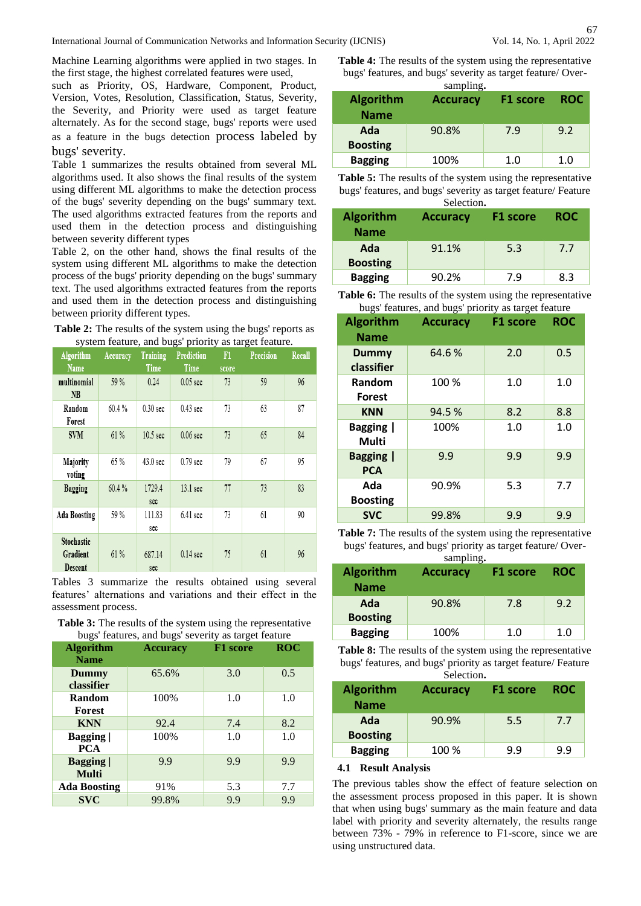Machine Learning algorithms were applied in two stages. In the first stage, the highest correlated features were used,

such as Priority, OS, Hardware, Component, Product, Version, Votes, Resolution, Classification, Status, Severity, the Severity, and Priority were used as target feature alternately. As for the second stage, bugs' reports were used as a feature in the bugs detection process labeled by bugs' severity.

Table 1 summarizes the results obtained from several ML algorithms used. It also shows the final results of the system using different ML algorithms to make the detection process of the bugs' severity depending on the bugs' summary text. The used algorithms extracted features from the reports and used them in the detection process and distinguishing between severity different types

Table 2, on the other hand, shows the final results of the system using different ML algorithms to make the detection process of the bugs' priority depending on the bugs' summary text. The used algorithms extracted features from the reports and used them in the detection process and distinguishing between priority different types.

|                                                       | <b>Table 2:</b> The results of the system using the bugs' reports as |
|-------------------------------------------------------|----------------------------------------------------------------------|
| system feature, and bugs' priority as target feature. |                                                                      |

| <b>Algorithm</b><br><b>Name</b>   | Accuracy | <b>Training</b><br>Time | - - - - - - - - - - - <i>-</i><br><b>Prediction</b><br>Time | F1<br>score | <b>Precision</b> | Recall |
|-----------------------------------|----------|-------------------------|-------------------------------------------------------------|-------------|------------------|--------|
| multinomial<br>NB                 | 59%      | 0.24                    | $0.05$ sec                                                  | 73          | 59               | 96     |
| Random<br>Forest                  | 60.4%    | $0.30$ sec              | $0.43$ sec                                                  | 73          | 63               | 87     |
| <b>SVM</b>                        | 61%      | 10.5 <sub>sec</sub>     | $0.06$ sec                                                  | 73          | 65               | 84     |
| Majority<br>voting                | 65 %     | 43.0 sec                | $0.79$ sec                                                  | 79          | 67               | 95     |
| Bagging                           | 60.4%    | 1729.4<br>sec           | $13.1$ sec                                                  | 77          | 73               | 83     |
| <b>Ada Boosting</b>               | 59 %     | 111.83<br>sec           | $6.41$ sec                                                  | 73          | 61               | 90     |
| Stochastic<br>Gradient<br>Descent | 61%      | 687.14<br>sec           | $0.14$ sec                                                  | 75          | 61               | 96     |

Tables 3 summarize the results obtained using several features' alternations and variations and their effect in the assessment process.

**Table 3:** The results of the system using the representative bugs' features, and bugs' severity as target feature

| <b>Algorithm</b><br><b>Name</b> | <b>Accuracy</b> | <b>F1</b> score | <b>ROC</b> |
|---------------------------------|-----------------|-----------------|------------|
| Dummy<br>classifier             | 65.6%           | 3.0             | 0.5        |
| <b>Random</b><br>Forest         | 100%            | 1.0             | 1.0        |
| <b>KNN</b>                      | 92.4            | 7.4             | 8.2        |
| Bagging  <br><b>PCA</b>         | 100%            | 1.0             | 1.0        |
| <b>Bagging</b><br><b>Multi</b>  | 9.9             | 9.9             | 9.9        |
| <b>Ada Boosting</b>             | 91%             | 5.3             | 7.7        |
| <b>SVC</b>                      | 99.8%           | 9.9             | 9.9        |

**Table 4:** The results of the system using the representative bugs' features, and bugs' severity as target feature/ Over-

| sampling. |  |
|-----------|--|
|-----------|--|

| <b>Algorithm</b><br><b>Name</b> | <b>Accuracy</b> | F1 score | <b>ROC</b> |
|---------------------------------|-----------------|----------|------------|
| Ada<br><b>Boosting</b>          | 90.8%           | 7.9      | 9.2        |
| <b>Bagging</b>                  | 100%            | 1.0      | 1.0        |

**Table 5:** The results of the system using the representative bugs' features, and bugs' severity as target feature/ Feature Selection**.**

|                                 | Selection.      |          |            |
|---------------------------------|-----------------|----------|------------|
| <b>Algorithm</b><br><b>Name</b> | <b>Accuracy</b> | F1 score | <b>ROC</b> |
| Ada<br><b>Boosting</b>          | 91.1%           | 5.3      | 7.7        |
| <b>Bagging</b>                  | 90.2%           | 7.9      | 8.3        |

Table 6: The results of the system using the representative bugs' features, and bugs' priority as target feature

| <b>Algorithm</b><br><b>Name</b>  | <b>Accuracy</b> | F <sub>1</sub> score | <b>ROC</b> |
|----------------------------------|-----------------|----------------------|------------|
| <b>Dummy</b><br>classifier       | 64.6%           | 2.0                  | 0.5        |
| Random<br><b>Forest</b>          | 100 %           | 1.0                  | 1.0        |
| <b>KNN</b>                       | 94.5%           | 8.2                  | 8.8        |
| <b>Bagging</b>  <br><b>Multi</b> | 100%            | 1.0                  | 1.0        |
| <b>Bagging</b>  <br><b>PCA</b>   | 9.9             | 9.9                  | 9.9        |
| Ada<br><b>Boosting</b>           | 90.9%           | 5.3                  | 7.7        |
| <b>SVC</b>                       | 99.8%           | 9.9                  | 9.9        |

**Table 7:** The results of the system using the representative bugs' features, and bugs' priority as target feature/ Over-

sampling**.**

|                                 | $v_{\text{unip}}$ |          |            |  |  |
|---------------------------------|-------------------|----------|------------|--|--|
| <b>Algorithm</b><br><b>Name</b> | <b>Accuracy</b>   | F1 score | <b>ROC</b> |  |  |
| Ada                             | 90.8%             | 7.8      | 9.2        |  |  |
| <b>Boosting</b>                 |                   |          |            |  |  |
| <b>Bagging</b>                  | 100%              | 1.0      | 1.0        |  |  |

**Table 8:** The results of the system using the representative bugs' features, and bugs' priority as target feature/ Feature Selection**.**

|                                 | ociocuon.       |          |            |
|---------------------------------|-----------------|----------|------------|
| <b>Algorithm</b><br><b>Name</b> | <b>Accuracy</b> | F1 score | <b>ROC</b> |
| Ada                             | 90.9%           | 5.5      | 7.7        |
| <b>Boosting</b>                 |                 |          |            |
| <b>Bagging</b>                  | 100 %           | 9.9      | 9.9        |

#### **4.1 Result Analysis**

The previous tables show the effect of feature selection on the assessment process proposed in this paper. It is shown that when using bugs' summary as the main feature and data label with priority and severity alternately, the results range between 73% - 79% in reference to F1-score, since we are using unstructured data.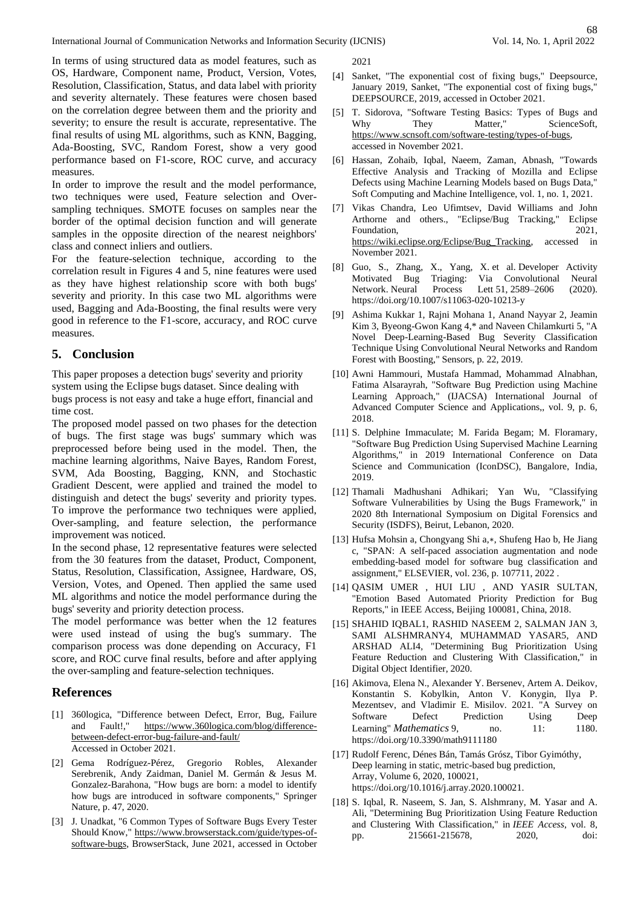In terms of using structured data as model features, such as OS, Hardware, Component name, Product, Version, Votes, Resolution, Classification, Status, and data label with priority and severity alternately. These features were chosen based on the correlation degree between them and the priority and severity; to ensure the result is accurate, representative. The final results of using ML algorithms, such as KNN, Bagging, Ada-Boosting, SVC, Random Forest, show a very good performance based on F1-score, ROC curve, and accuracy measures.

In order to improve the result and the model performance, two techniques were used, Feature selection and Oversampling techniques. SMOTE focuses on samples near the border of the optimal decision function and will generate samples in the opposite direction of the nearest neighbors' class and connect inliers and outliers.

For the feature-selection technique, according to the correlation result in Figures 4 and 5, nine features were used as they have highest relationship score with both bugs' severity and priority. In this case two ML algorithms were used, Bagging and Ada-Boosting, the final results were very good in reference to the F1-score, accuracy, and ROC curve measures.

# **5. Conclusion**

This paper proposes a detection bugs' severity and priority system using the Eclipse bugs dataset. Since dealing with bugs process is not easy and take a huge effort, financial and time cost.

The proposed model passed on two phases for the detection of bugs. The first stage was bugs' summary which was preprocessed before being used in the model. Then, the machine learning algorithms, Naive Bayes, Random Forest, SVM, Ada Boosting, Bagging, KNN, and Stochastic Gradient Descent, were applied and trained the model to distinguish and detect the bugs' severity and priority types. To improve the performance two techniques were applied, Over-sampling, and feature selection, the performance improvement was noticed.

In the second phase, 12 representative features were selected from the 30 features from the dataset, Product, Component, Status, Resolution, Classification, Assignee, Hardware, OS, Version, Votes, and Opened. Then applied the same used ML algorithms and notice the model performance during the bugs' severity and priority detection process.

The model performance was better when the 12 features were used instead of using the bug's summary. The comparison process was done depending on Accuracy, F1 score, and ROC curve final results, before and after applying the over-sampling and feature-selection techniques.

#### **References**

- [1] 360logica, "Difference between Defect, Error, Bug, Failure and Fault!," [https://www.360logica.com/blog/difference](https://www.360logica.com/blog/difference-between-defect-error-bug-failure-and-fault/)[between-defect-error-bug-failure-and-fault/](https://www.360logica.com/blog/difference-between-defect-error-bug-failure-and-fault/) Accessed in October 2021.
- [2] Gema Rodríguez-Pérez, Gregorio Robles, Alexander Serebrenik, Andy Zaidman, Daniel M. Germán & Jesus M. Gonzalez-Barahona, "How bugs are born: a model to identify how bugs are introduced in software components," Springer Nature, p. 47, 2020.
- [3] J. Unadkat, "6 Common Types of Software Bugs Every Tester Should Know," [https://www.browserstack.com/guide/types-of](https://www.browserstack.com/guide/types-of-software-bugs)[software-bugs,](https://www.browserstack.com/guide/types-of-software-bugs) BrowserStack, June 2021, accessed in October

2021

- [4] Sanket, "The exponential cost of fixing bugs," Deepsource, January 2019, Sanket, "The exponential cost of fixing bugs," DEEPSOURCE, 2019, accessed in October 2021.
- [5] T. Sidorova, "Software Testing Basics: Types of Bugs and Why They Matter," ScienceSoft, [https://www.scnsoft.com/software-testing/types-of-bugs,](https://www.scnsoft.com/software-testing/types-of-bugs)  accessed in November 2021.
- [6] Hassan, Zohaib, Iqbal, Naeem, Zaman, Abnash, "Towards Effective Analysis and Tracking of Mozilla and Eclipse Defects using Machine Learning Models based on Bugs Data," Soft Computing and Machine Intelligence, vol. 1, no. 1, 2021.
- [7] Vikas Chandra, Leo Ufimtsev, David Williams and John Arthorne and others., "Eclipse/Bug Tracking," Eclipse Foundation, 2021, [https://wiki.eclipse.org/Eclipse/Bug\\_Tracking,](https://wiki.eclipse.org/Eclipse/Bug_Tracking) accessed in November 2021.
- [8] Guo, S., Zhang, X., Yang, X. et al. Developer Activity Triaging: Via Convolutional Neural<br>Process Lett 51, 2589-2606 (2020). Network. Neural Process Lett 51, 2589–2606 (2020). https://doi.org/10.1007/s11063-020-10213-y
- [9] Ashima Kukkar 1, Rajni Mohana 1, Anand Nayyar 2, Jeamin Kim 3, Byeong-Gwon Kang 4,\* and Naveen Chilamkurti 5, "A Novel Deep-Learning-Based Bug Severity Classification Technique Using Convolutional Neural Networks and Random Forest with Boosting," Sensors, p. 22, 2019.
- [10] Awni Hammouri, Mustafa Hammad, Mohammad Alnabhan, Fatima Alsarayrah, "Software Bug Prediction using Machine Learning Approach," (IJACSA) International Journal of Advanced Computer Science and Applications,, vol. 9, p. 6, 2018.
- [11] S. Delphine Immaculate; M. Farida Begam; M. Floramary, "Software Bug Prediction Using Supervised Machine Learning Algorithms," in 2019 International Conference on Data Science and Communication (IconDSC), Bangalore, India, 2019.
- [12] Thamali Madhushani Adhikari; Yan Wu, "Classifying Software Vulnerabilities by Using the Bugs Framework," in 2020 8th International Symposium on Digital Forensics and Security (ISDFS), Beirut, Lebanon, 2020.
- [13] Hufsa Mohsin a, Chongyang Shi a,∗, Shufeng Hao b, He Jiang c, "SPAN: A self-paced association augmentation and node embedding-based model for software bug classification and assignment," ELSEVIER, vol. 236, p. 107711, 2022 .
- [14] QASIM UMER , HUI LIU , AND YASIR SULTAN, "Emotion Based Automated Priority Prediction for Bug Reports," in IEEE Access, Beijing 100081, China, 2018.
- [15] SHAHID IQBAL1, RASHID NASEEM 2, SALMAN JAN 3, SAMI ALSHMRANY4, MUHAMMAD YASAR5, AND ARSHAD ALI4, "Determining Bug Prioritization Using Feature Reduction and Clustering With Classification," in Digital Object Identifier, 2020.
- [16] Akimova, Elena N., Alexander Y. Bersenev, Artem A. Deikov, Konstantin S. Kobylkin, Anton V. Konygin, Ilya P. Mezentsev, and Vladimir E. Misilov. 2021. "A Survey on Software Defect Prediction Using Deep Learning" *Mathematics* 9, no. 11: 1180. https://doi.org/10.3390/math9111180
- [17] Rudolf Ferenc, Dénes Bán, Tamás Grósz, Tibor Gyimóthy, Deep learning in static, metric-based bug prediction, Array, Volume 6, 2020, 100021, https://doi.org/10.1016/j.array.2020.100021.
- [18] S. Iqbal, R. Naseem, S. Jan, S. Alshmrany, M. Yasar and A. Ali, "Determining Bug Prioritization Using Feature Reduction and Clustering With Classification," in *IEEE Access*, vol. 8, pp. 215661-215678, 2020, doi: